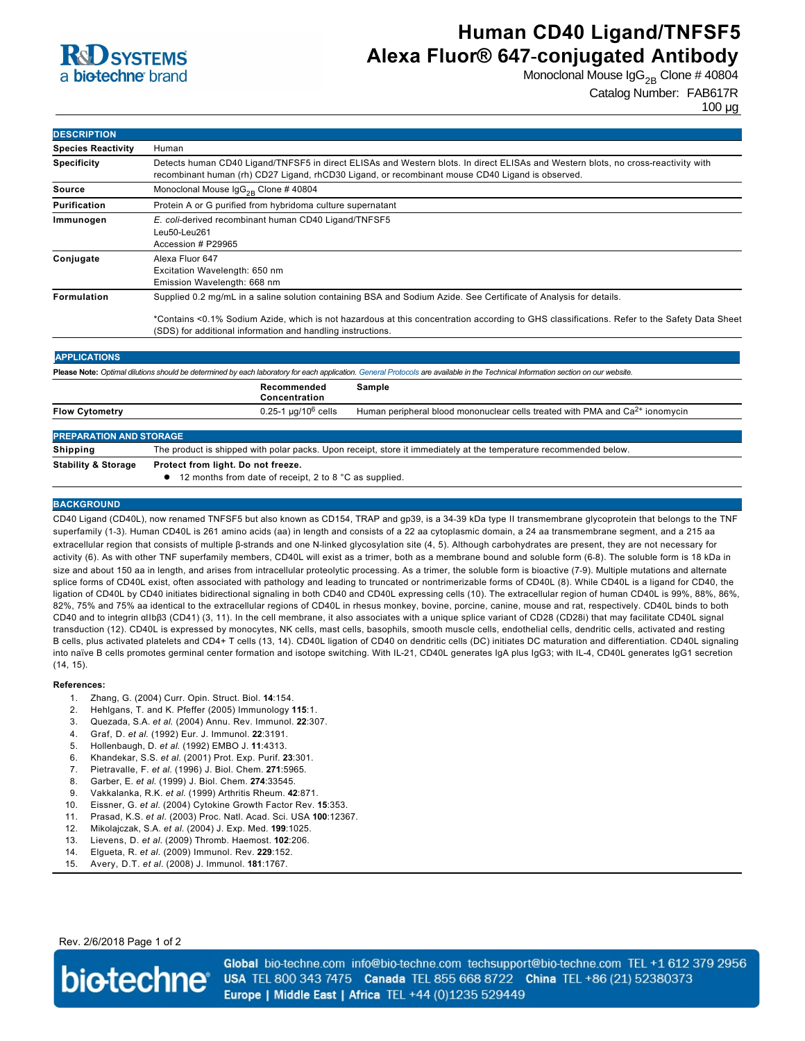

# **Human CD40 Ligand/TNFSF5 Alexa Fluor® 647-conjugated Antibody**

Monoclonal Mouse  $\lg G_{2B}$  Clone # 40804

Catalog Number: FAB617R

100 µg

| <b>DESCRIPTION</b>                                                                                                                                                                |                                                                                                                                                                                                                                                                                                                                 |
|-----------------------------------------------------------------------------------------------------------------------------------------------------------------------------------|---------------------------------------------------------------------------------------------------------------------------------------------------------------------------------------------------------------------------------------------------------------------------------------------------------------------------------|
| <b>Species Reactivity</b>                                                                                                                                                         | Human                                                                                                                                                                                                                                                                                                                           |
| <b>Specificity</b>                                                                                                                                                                | Detects human CD40 Ligand/TNFSF5 in direct ELISAs and Western blots. In direct ELISAs and Western blots, no cross-reactivity with<br>recombinant human (rh) CD27 Ligand, rhCD30 Ligand, or recombinant mouse CD40 Ligand is observed.                                                                                           |
| <b>Source</b>                                                                                                                                                                     | Monoclonal Mouse $\lg G_{2R}$ Clone # 40804                                                                                                                                                                                                                                                                                     |
| Purification                                                                                                                                                                      | Protein A or G purified from hybridoma culture supernatant                                                                                                                                                                                                                                                                      |
| Immunogen                                                                                                                                                                         | E. coli-derived recombinant human CD40 Ligand/TNFSF5<br>Leu50-Leu261<br>Accession # P29965                                                                                                                                                                                                                                      |
| Conjugate                                                                                                                                                                         | Alexa Fluor 647<br>Excitation Wavelength: 650 nm<br>Emission Wavelength: 668 nm                                                                                                                                                                                                                                                 |
| <b>Formulation</b>                                                                                                                                                                | Supplied 0.2 mg/mL in a saline solution containing BSA and Sodium Azide. See Certificate of Analysis for details.<br>*Contains <0.1% Sodium Azide, which is not hazardous at this concentration according to GHS classifications. Refer to the Safety Data Sheet<br>(SDS) for additional information and handling instructions. |
| <b>APPLICATIONS</b>                                                                                                                                                               |                                                                                                                                                                                                                                                                                                                                 |
| Please Note: Optimal dilutions should be determined by each laboratory for each application. General Protocols are available in the Technical Information section on our website. |                                                                                                                                                                                                                                                                                                                                 |
|                                                                                                                                                                                   | Recommended<br><b>Sample</b><br>Concentration                                                                                                                                                                                                                                                                                   |
| <b>Flow Cytometry</b>                                                                                                                                                             | 0.25-1 $\mu$ g/10 <sup>6</sup> cells<br>Human peripheral blood mononuclear cells treated with PMA and Ca <sup>2+</sup> ionomycin                                                                                                                                                                                                |
| <b>PREPARATION AND STORAGE</b>                                                                                                                                                    |                                                                                                                                                                                                                                                                                                                                 |
| <b>Shipping</b>                                                                                                                                                                   | The product is shipped with polar packs. Upon receipt, store it immediately at the temperature recommended below.                                                                                                                                                                                                               |
| <b>Stability &amp; Storage</b>                                                                                                                                                    | Protect from light. Do not freeze.<br>12 months from date of receipt, 2 to 8 °C as supplied.                                                                                                                                                                                                                                    |

#### **BACKGROUND**

CD40 Ligand (CD40L), now renamed TNFSF5 but also known as CD154, TRAP and gp39, is a 3439 kDa type II transmembrane glycoprotein that belongs to the TNF superfamily (1-3). Human CD40L is 261 amino acids (aa) in length and consists of a 22 aa cytoplasmic domain, a 24 aa transmembrane segment, and a 215 aa extracellular region that consists of multiple β-strands and one N-linked glycosylation site (4, 5). Although carbohydrates are present, they are not necessary for activity (6). As with other TNF superfamily members, CD40L will exist as a trimer, both as a membrane bound and soluble form (6-8). The soluble form is 18 kDa in size and about 150 aa in length, and arises from intracellular proteolytic processing. As a trimer, the soluble form is bioactive (79). Multiple mutations and alternate splice forms of CD40L exist, often associated with pathology and leading to truncated or nontrimerizable forms of CD40L (8). While CD40L is a ligand for CD40, the ligation of CD40L by CD40 initiates bidirectional signaling in both CD40 and CD40L expressing cells (10). The extracellular region of human CD40L is 99%, 88%, 86%, 82%, 75% and 75% aa identical to the extracellular regions of CD40L in rhesus monkey, bovine, porcine, canine, mouse and rat, respectively. CD40L binds to both CD40 and to integrin αIIbβ3 (CD41) (3, 11). In the cell membrane, it also associates with a unique splice variant of CD28 (CD28i) that may facilitate CD40L signal transduction (12). CD40L is expressed by monocytes, NK cells, mast cells, basophils, smooth muscle cells, endothelial cells, dendritic cells, activated and resting B cells, plus activated platelets and CD4+ T cells (13, 14). CD40L ligation of CD40 on dendritic cells (DC) initiates DC maturation and differentiation. CD40L signaling into naïve B cells promotes germinal center formation and isotope switching. With IL-21, CD40L generates IgA plus IgG3; with IL-4, CD40L generates IgG1 secretion (14, 15).

#### **References:**

- 1. Zhang, G. (2004) Curr. Opin. Struct. Biol. **14**:154.
- 2. Hehlgans, T. and K. Pfeffer (2005) Immunology **115**:1.
- 3. Quezada, S.A. *et al*. (2004) Annu. Rev. Immunol. **22**:307.
- 4. Graf, D. *et al*. (1992) Eur. J. Immunol. **22**:3191.
- 5. Hollenbaugh, D. *et al*. (1992) EMBO J. **11**:4313.
- 6. Khandekar, S.S. *et al*. (2001) Prot. Exp. Purif. **23**:301.
- 7. Pietravalle, F. *et al*. (1996) J. Biol. Chem. **271**:5965.
- 8. Garber, E. *et al*. (1999) J. Biol. Chem. **274**:33545.
- 9. Vakkalanka, R.K. *et al*. (1999) Arthritis Rheum. **42**:871.
- 10. Eissner, G. *et al*. (2004) Cytokine Growth Factor Rev. **15**:353.
- 11. Prasad, K.S. *et al.* (2003) Proc. Natl. Acad. Sci. USA **100**:12367.
- 12. Mikolajczak, S.A. *et al.* (2004) J. Exp. Med. **199**:1025.
- 13. Lievens, D. *et al.* (2009) Thromb. Haemost. **102**:206.
- 14. Elgueta, R. *et al.* (2009) Immunol. Rev. **229**:152.
- 15. Avery, D.T. *et al.* (2008) J. Immunol. **181**:1767.

Rev. 2/6/2018 Page 1 of 2



Global bio-techne.com info@bio-techne.com techsupport@bio-techne.com TEL +1 612 379 2956 USA TEL 800 343 7475 Canada TEL 855 668 8722 China TEL +86 (21) 52380373 Europe | Middle East | Africa TEL +44 (0)1235 529449